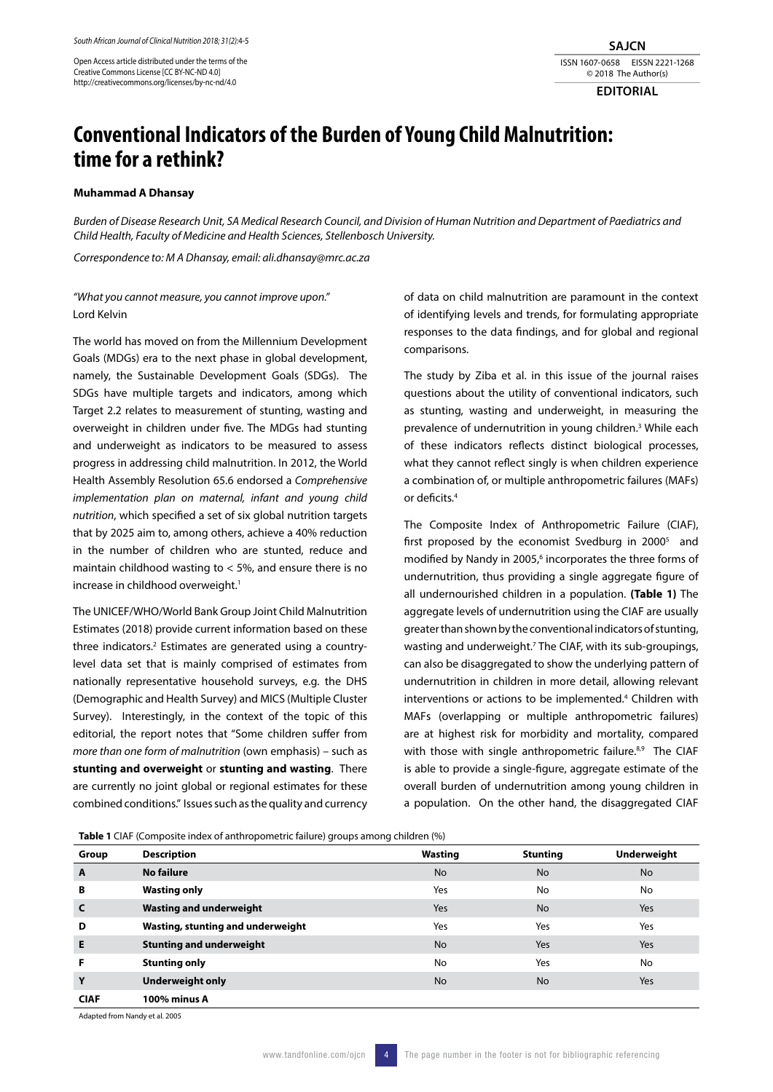Open Access article distributed under the terms of the Creative Commons License [CC BY-NC-ND 4.0] http://creativecommons.org/licenses/by-nc-nd/4.0

**SAJCN** ISSN 1607-0658 EISSN 2221-1268 © 2018 The Author(s)

**EDITORIAL**

## **Conventional Indicators of the Burden of Young Child Malnutrition: time for a rethink?**

## **Muhammad A Dhansay**

*Burden of Disease Research Unit, SA Medical Research Council, and Division of Human Nutrition and Department of Paediatrics and Child Health, Faculty of Medicine and Health Sciences, Stellenbosch University.*

*Correspondence to: M A Dhansay, email: ali.dhansay@mrc.ac.za*

## *"What you cannot measure, you cannot improve upon."*  Lord Kelvin

The world has moved on from the Millennium Development Goals (MDGs) era to the next phase in global development, namely, the Sustainable Development Goals (SDGs). The SDGs have multiple targets and indicators, among which Target 2.2 relates to measurement of stunting, wasting and overweight in children under five. The MDGs had stunting and underweight as indicators to be measured to assess progress in addressing child malnutrition. In 2012, the World Health Assembly Resolution 65.6 endorsed a *Comprehensive implementation plan on maternal, infant and young child nutrition*, which specified a set of six global nutrition targets that by 2025 aim to, among others, achieve a 40% reduction in the number of children who are stunted, reduce and maintain childhood wasting to < 5%, and ensure there is no increase in childhood overweight.<sup>1</sup>

The UNICEF/WHO/World Bank Group Joint Child Malnutrition Estimates (2018) provide current information based on these three indicators.<sup>2</sup> Estimates are generated using a countrylevel data set that is mainly comprised of estimates from nationally representative household surveys, e.g. the DHS (Demographic and Health Survey) and MICS (Multiple Cluster Survey). Interestingly, in the context of the topic of this editorial, the report notes that "Some children suffer from *more than one form of malnutrition* (own emphasis) – such as **stunting and overweight** or **stunting and wasting**. There are currently no joint global or regional estimates for these combined conditions." Issues such as the quality and currency

of data on child malnutrition are paramount in the context of identifying levels and trends, for formulating appropriate responses to the data findings, and for global and regional comparisons.

The study by Ziba et al. in this issue of the journal raises questions about the utility of conventional indicators, such as stunting, wasting and underweight, in measuring the prevalence of undernutrition in young children.<sup>3</sup> While each of these indicators reflects distinct biological processes, what they cannot reflect singly is when children experience a combination of, or multiple anthropometric failures (MAFs) or deficits.4

The Composite Index of Anthropometric Failure (CIAF), first proposed by the economist Svedburg in 2000<sup>5</sup> and modified by Nandy in 2005,<sup>6</sup> incorporates the three forms of undernutrition, thus providing a single aggregate figure of all undernourished children in a population. **(Table 1)** The aggregate levels of undernutrition using the CIAF are usually greater than shown by the conventional indicators of stunting, wasting and underweight.<sup>7</sup> The CIAF, with its sub-groupings, can also be disaggregated to show the underlying pattern of undernutrition in children in more detail, allowing relevant interventions or actions to be implemented.<sup>4</sup> Children with MAFs (overlapping or multiple anthropometric failures) are at highest risk for morbidity and mortality, compared with those with single anthropometric failure.8,9 The CIAF is able to provide a single-figure, aggregate estimate of the overall burden of undernutrition among young children in a population. On the other hand, the disaggregated CIAF

**Table 1** CIAF (Composite index of anthropometric failure) groups among children (%)

| <b>Table T</b> Ciril (Composite mack of antihopometric failure) groups among children (70) |                                   |           |                 |             |
|--------------------------------------------------------------------------------------------|-----------------------------------|-----------|-----------------|-------------|
| Group                                                                                      | <b>Description</b>                | Wasting   | <b>Stunting</b> | Underweight |
| $\mathbf{A}$                                                                               | <b>No failure</b>                 | <b>No</b> | <b>No</b>       | <b>No</b>   |
| B                                                                                          | <b>Wasting only</b>               | Yes       | No              | No          |
| $\mathsf{C}$                                                                               | <b>Wasting and underweight</b>    | Yes       | <b>No</b>       | Yes         |
| D                                                                                          | Wasting, stunting and underweight | Yes       | Yes             | Yes         |
| E                                                                                          | <b>Stunting and underweight</b>   | <b>No</b> | Yes             | Yes         |
| F                                                                                          | <b>Stunting only</b>              | <b>No</b> | Yes             | No          |
| Y                                                                                          | <b>Underweight only</b>           | <b>No</b> | <b>No</b>       | Yes         |
| <b>CIAF</b>                                                                                | <b>100% minus A</b>               |           |                 |             |

Adapted from Nandy et al. 2005